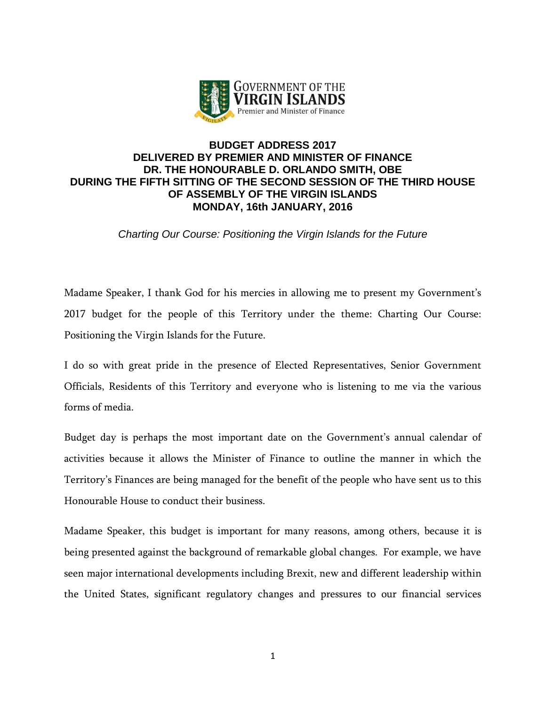

# **BUDGET ADDRESS 2017 DELIVERED BY PREMIER AND MINISTER OF FINANCE DR. THE HONOURABLE D. ORLANDO SMITH, OBE DURING THE FIFTH SITTING OF THE SECOND SESSION OF THE THIRD HOUSE OF ASSEMBLY OF THE VIRGIN ISLANDS MONDAY, 16th JANUARY, 2016**

*Charting Our Course: Positioning the Virgin Islands for the Future*

Madame Speaker, I thank God for his mercies in allowing me to present my Government's 2017 budget for the people of this Territory under the theme: Charting Our Course: Positioning the Virgin Islands for the Future.

I do so with great pride in the presence of Elected Representatives, Senior Government Officials, Residents of this Territory and everyone who is listening to me via the various forms of media.

Budget day is perhaps the most important date on the Government's annual calendar of activities because it allows the Minister of Finance to outline the manner in which the Territory's Finances are being managed for the benefit of the people who have sent us to this Honourable House to conduct their business.

Madame Speaker, this budget is important for many reasons, among others, because it is being presented against the background of remarkable global changes. For example, we have seen major international developments including Brexit, new and different leadership within the United States, significant regulatory changes and pressures to our financial services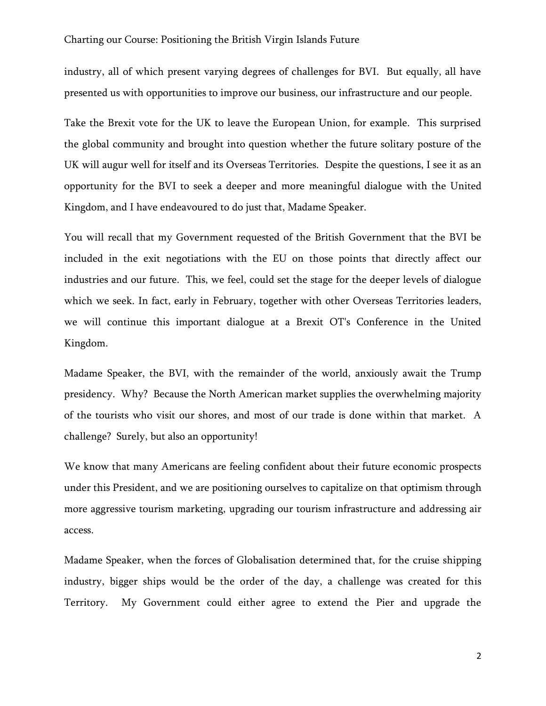industry, all of which present varying degrees of challenges for BVI. But equally, all have presented us with opportunities to improve our business, our infrastructure and our people.

Take the Brexit vote for the UK to leave the European Union, for example. This surprised the global community and brought into question whether the future solitary posture of the UK will augur well for itself and its Overseas Territories. Despite the questions, I see it as an opportunity for the BVI to seek a deeper and more meaningful dialogue with the United Kingdom, and I have endeavoured to do just that, Madame Speaker.

You will recall that my Government requested of the British Government that the BVI be included in the exit negotiations with the EU on those points that directly affect our industries and our future. This, we feel, could set the stage for the deeper levels of dialogue which we seek. In fact, early in February, together with other Overseas Territories leaders, we will continue this important dialogue at a Brexit OT's Conference in the United Kingdom.

Madame Speaker, the BVI, with the remainder of the world, anxiously await the Trump presidency. Why? Because the North American market supplies the overwhelming majority of the tourists who visit our shores, and most of our trade is done within that market. A challenge? Surely, but also an opportunity!

We know that many Americans are feeling confident about their future economic prospects under this President, and we are positioning ourselves to capitalize on that optimism through more aggressive tourism marketing, upgrading our tourism infrastructure and addressing air access.

Madame Speaker, when the forces of Globalisation determined that, for the cruise shipping industry, bigger ships would be the order of the day, a challenge was created for this Territory. My Government could either agree to extend the Pier and upgrade the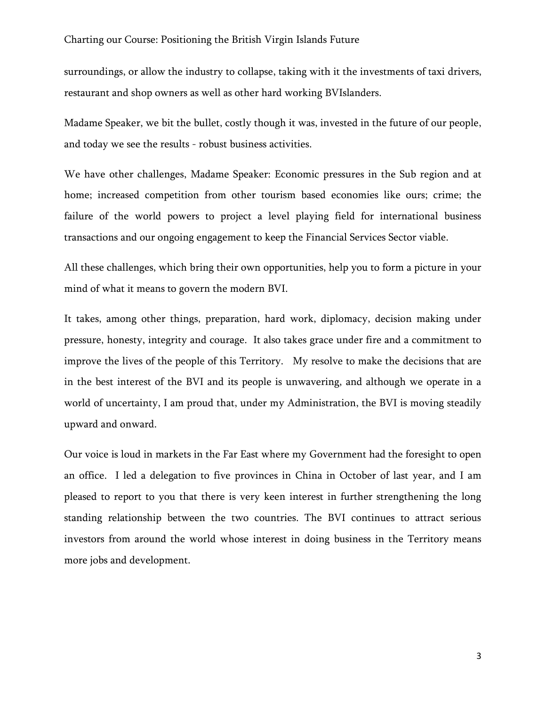surroundings, or allow the industry to collapse, taking with it the investments of taxi drivers, restaurant and shop owners as well as other hard working BVIslanders.

Madame Speaker, we bit the bullet, costly though it was, invested in the future of our people, and today we see the results - robust business activities.

We have other challenges, Madame Speaker: Economic pressures in the Sub region and at home; increased competition from other tourism based economies like ours; crime; the failure of the world powers to project a level playing field for international business transactions and our ongoing engagement to keep the Financial Services Sector viable.

All these challenges, which bring their own opportunities, help you to form a picture in your mind of what it means to govern the modern BVI.

It takes, among other things, preparation, hard work, diplomacy, decision making under pressure, honesty, integrity and courage. It also takes grace under fire and a commitment to improve the lives of the people of this Territory. My resolve to make the decisions that are in the best interest of the BVI and its people is unwavering, and although we operate in a world of uncertainty, I am proud that, under my Administration, the BVI is moving steadily upward and onward.

Our voice is loud in markets in the Far East where my Government had the foresight to open an office. I led a delegation to five provinces in China in October of last year, and I am pleased to report to you that there is very keen interest in further strengthening the long standing relationship between the two countries. The BVI continues to attract serious investors from around the world whose interest in doing business in the Territory means more jobs and development.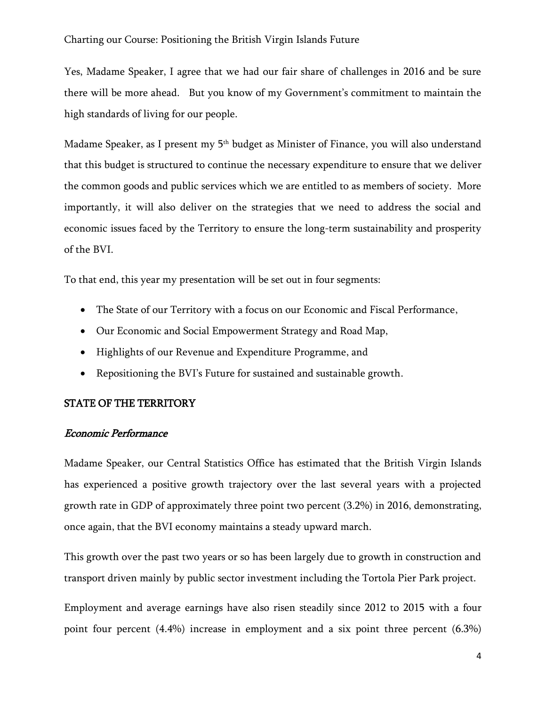Yes, Madame Speaker, I agree that we had our fair share of challenges in 2016 and be sure there will be more ahead. But you know of my Government's commitment to maintain the high standards of living for our people.

Madame Speaker, as I present my 5<sup>th</sup> budget as Minister of Finance, you will also understand that this budget is structured to continue the necessary expenditure to ensure that we deliver the common goods and public services which we are entitled to as members of society. More importantly, it will also deliver on the strategies that we need to address the social and economic issues faced by the Territory to ensure the long-term sustainability and prosperity of the BVI.

To that end, this year my presentation will be set out in four segments:

- The State of our Territory with a focus on our Economic and Fiscal Performance,
- Our Economic and Social Empowerment Strategy and Road Map,
- Highlights of our Revenue and Expenditure Programme, and
- Repositioning the BVI's Future for sustained and sustainable growth.

### STATE OF THE TERRITORY

### Economic Performance

Madame Speaker, our Central Statistics Office has estimated that the British Virgin Islands has experienced a positive growth trajectory over the last several years with a projected growth rate in GDP of approximately three point two percent (3.2%) in 2016, demonstrating, once again, that the BVI economy maintains a steady upward march.

This growth over the past two years or so has been largely due to growth in construction and transport driven mainly by public sector investment including the Tortola Pier Park project.

Employment and average earnings have also risen steadily since 2012 to 2015 with a four point four percent (4.4%) increase in employment and a six point three percent (6.3%)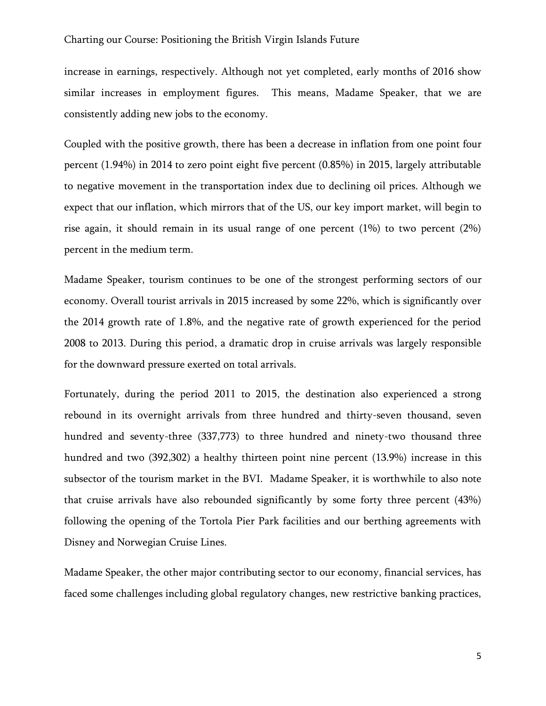increase in earnings, respectively. Although not yet completed, early months of 2016 show similar increases in employment figures. This means, Madame Speaker, that we are consistently adding new jobs to the economy.

Coupled with the positive growth, there has been a decrease in inflation from one point four percent (1.94%) in 2014 to zero point eight five percent (0.85%) in 2015, largely attributable to negative movement in the transportation index due to declining oil prices. Although we expect that our inflation, which mirrors that of the US, our key import market, will begin to rise again, it should remain in its usual range of one percent (1%) to two percent (2%) percent in the medium term.

Madame Speaker, tourism continues to be one of the strongest performing sectors of our economy. Overall tourist arrivals in 2015 increased by some 22%, which is significantly over the 2014 growth rate of 1.8%, and the negative rate of growth experienced for the period 2008 to 2013. During this period, a dramatic drop in cruise arrivals was largely responsible for the downward pressure exerted on total arrivals.

Fortunately, during the period 2011 to 2015, the destination also experienced a strong rebound in its overnight arrivals from three hundred and thirty-seven thousand, seven hundred and seventy-three (337,773) to three hundred and ninety-two thousand three hundred and two (392,302) a healthy thirteen point nine percent (13.9%) increase in this subsector of the tourism market in the BVI. Madame Speaker, it is worthwhile to also note that cruise arrivals have also rebounded significantly by some forty three percent (43%) following the opening of the Tortola Pier Park facilities and our berthing agreements with Disney and Norwegian Cruise Lines.

Madame Speaker, the other major contributing sector to our economy, financial services, has faced some challenges including global regulatory changes, new restrictive banking practices,

5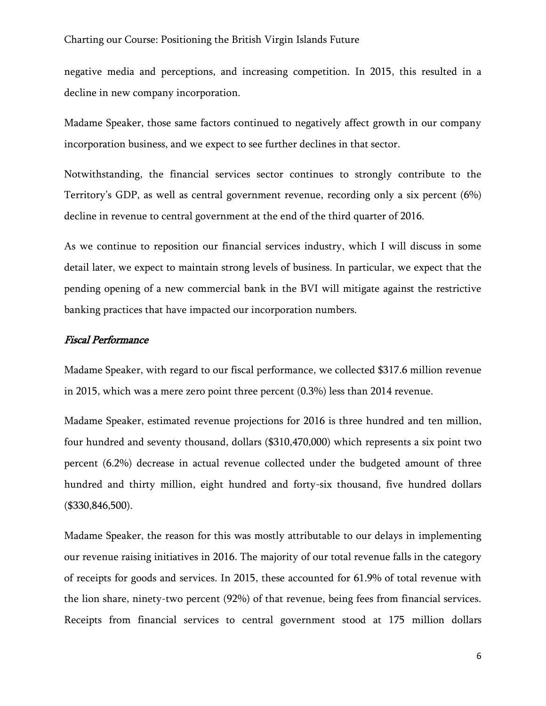negative media and perceptions, and increasing competition. In 2015, this resulted in a decline in new company incorporation.

Madame Speaker, those same factors continued to negatively affect growth in our company incorporation business, and we expect to see further declines in that sector.

Notwithstanding, the financial services sector continues to strongly contribute to the Territory's GDP, as well as central government revenue, recording only a six percent (6%) decline in revenue to central government at the end of the third quarter of 2016.

As we continue to reposition our financial services industry, which I will discuss in some detail later, we expect to maintain strong levels of business. In particular, we expect that the pending opening of a new commercial bank in the BVI will mitigate against the restrictive banking practices that have impacted our incorporation numbers.

### Fiscal Performance

Madame Speaker, with regard to our fiscal performance, we collected \$317.6 million revenue in 2015, which was a mere zero point three percent (0.3%) less than 2014 revenue.

Madame Speaker, estimated revenue projections for 2016 is three hundred and ten million, four hundred and seventy thousand, dollars (\$310,470,000) which represents a six point two percent (6.2%) decrease in actual revenue collected under the budgeted amount of three hundred and thirty million, eight hundred and forty-six thousand, five hundred dollars (\$330,846,500).

Madame Speaker, the reason for this was mostly attributable to our delays in implementing our revenue raising initiatives in 2016. The majority of our total revenue falls in the category of receipts for goods and services. In 2015, these accounted for 61.9% of total revenue with the lion share, ninety-two percent (92%) of that revenue, being fees from financial services. Receipts from financial services to central government stood at 175 million dollars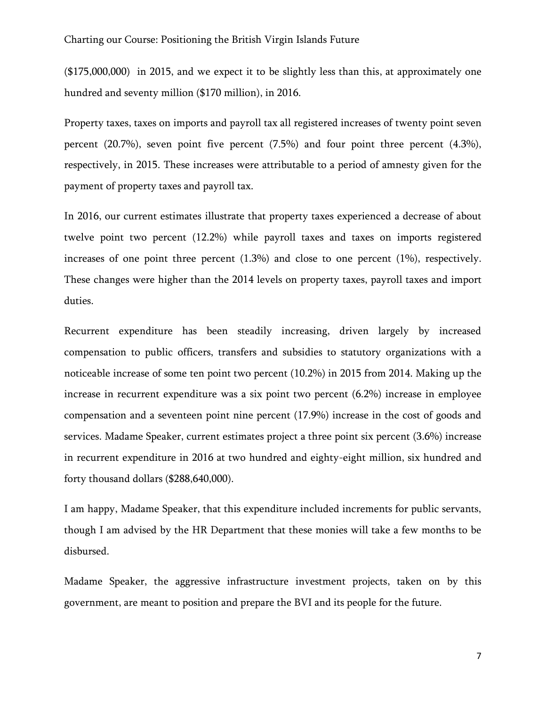(\$175,000,000) in 2015, and we expect it to be slightly less than this, at approximately one hundred and seventy million (\$170 million), in 2016.

Property taxes, taxes on imports and payroll tax all registered increases of twenty point seven percent (20.7%), seven point five percent (7.5%) and four point three percent (4.3%), respectively, in 2015. These increases were attributable to a period of amnesty given for the payment of property taxes and payroll tax.

In 2016, our current estimates illustrate that property taxes experienced a decrease of about twelve point two percent (12.2%) while payroll taxes and taxes on imports registered increases of one point three percent  $(1.3%)$  and close to one percent  $(1%)$ , respectively. These changes were higher than the 2014 levels on property taxes, payroll taxes and import duties.

Recurrent expenditure has been steadily increasing, driven largely by increased compensation to public officers, transfers and subsidies to statutory organizations with a noticeable increase of some ten point two percent (10.2%) in 2015 from 2014. Making up the increase in recurrent expenditure was a six point two percent (6.2%) increase in employee compensation and a seventeen point nine percent (17.9%) increase in the cost of goods and services. Madame Speaker, current estimates project a three point six percent (3.6%) increase in recurrent expenditure in 2016 at two hundred and eighty-eight million, six hundred and forty thousand dollars (\$288,640,000).

I am happy, Madame Speaker, that this expenditure included increments for public servants, though I am advised by the HR Department that these monies will take a few months to be disbursed.

Madame Speaker, the aggressive infrastructure investment projects, taken on by this government, are meant to position and prepare the BVI and its people for the future.

7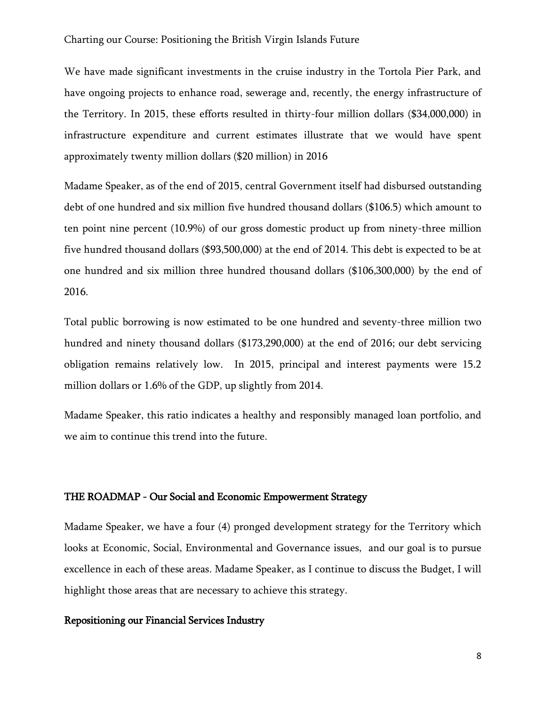We have made significant investments in the cruise industry in the Tortola Pier Park, and have ongoing projects to enhance road, sewerage and, recently, the energy infrastructure of the Territory. In 2015, these efforts resulted in thirty-four million dollars (\$34,000,000) in infrastructure expenditure and current estimates illustrate that we would have spent approximately twenty million dollars (\$20 million) in 2016

Madame Speaker, as of the end of 2015, central Government itself had disbursed outstanding debt of one hundred and six million five hundred thousand dollars (\$106.5) which amount to ten point nine percent (10.9%) of our gross domestic product up from ninety-three million five hundred thousand dollars (\$93,500,000) at the end of 2014. This debt is expected to be at one hundred and six million three hundred thousand dollars (\$106,300,000) by the end of 2016.

Total public borrowing is now estimated to be one hundred and seventy-three million two hundred and ninety thousand dollars (\$173,290,000) at the end of 2016; our debt servicing obligation remains relatively low. In 2015, principal and interest payments were 15.2 million dollars or 1.6% of the GDP, up slightly from 2014.

Madame Speaker, this ratio indicates a healthy and responsibly managed loan portfolio, and we aim to continue this trend into the future.

### THE ROADMAP - Our Social and Economic Empowerment Strategy

Madame Speaker, we have a four (4) pronged development strategy for the Territory which looks at Economic, Social, Environmental and Governance issues, and our goal is to pursue excellence in each of these areas. Madame Speaker, as I continue to discuss the Budget, I will highlight those areas that are necessary to achieve this strategy.

### Repositioning our Financial Services Industry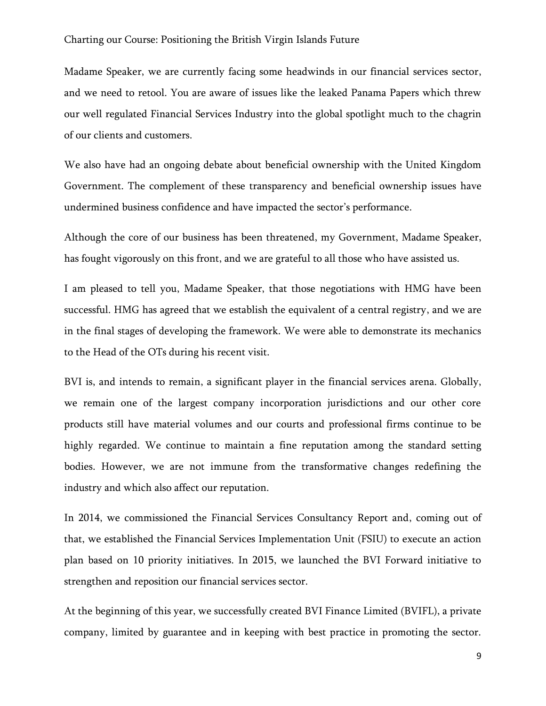Madame Speaker, we are currently facing some headwinds in our financial services sector, and we need to retool. You are aware of issues like the leaked Panama Papers which threw our well regulated Financial Services Industry into the global spotlight much to the chagrin of our clients and customers.

We also have had an ongoing debate about beneficial ownership with the United Kingdom Government. The complement of these transparency and beneficial ownership issues have undermined business confidence and have impacted the sector's performance.

Although the core of our business has been threatened, my Government, Madame Speaker, has fought vigorously on this front, and we are grateful to all those who have assisted us.

I am pleased to tell you, Madame Speaker, that those negotiations with HMG have been successful. HMG has agreed that we establish the equivalent of a central registry, and we are in the final stages of developing the framework. We were able to demonstrate its mechanics to the Head of the OTs during his recent visit.

BVI is, and intends to remain, a significant player in the financial services arena. Globally, we remain one of the largest company incorporation jurisdictions and our other core products still have material volumes and our courts and professional firms continue to be highly regarded. We continue to maintain a fine reputation among the standard setting bodies. However, we are not immune from the transformative changes redefining the industry and which also affect our reputation.

In 2014, we commissioned the Financial Services Consultancy Report and, coming out of that, we established the Financial Services Implementation Unit (FSIU) to execute an action plan based on 10 priority initiatives. In 2015, we launched the BVI Forward initiative to strengthen and reposition our financial services sector.

At the beginning of this year, we successfully created BVI Finance Limited (BVIFL), a private company, limited by guarantee and in keeping with best practice in promoting the sector.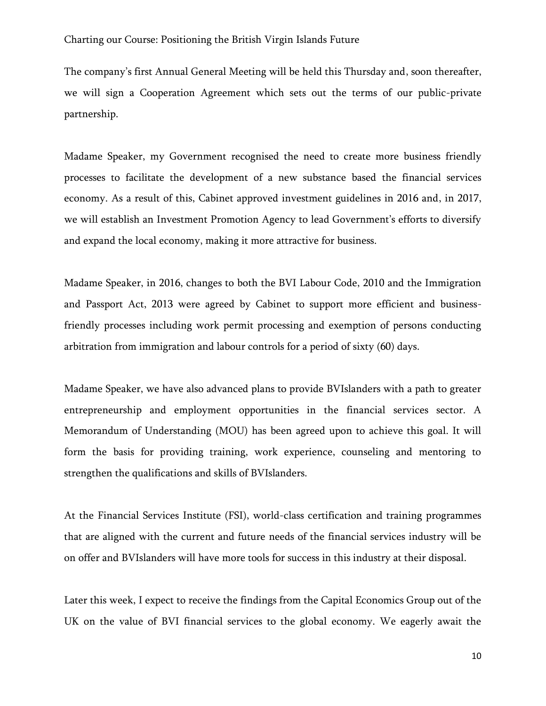The company's first Annual General Meeting will be held this Thursday and, soon thereafter, we will sign a Cooperation Agreement which sets out the terms of our public-private partnership.

Madame Speaker, my Government recognised the need to create more business friendly processes to facilitate the development of a new substance based the financial services economy. As a result of this, Cabinet approved investment guidelines in 2016 and, in 2017, we will establish an Investment Promotion Agency to lead Government's efforts to diversify and expand the local economy, making it more attractive for business.

Madame Speaker, in 2016, changes to both the BVI Labour Code, 2010 and the Immigration and Passport Act, 2013 were agreed by Cabinet to support more efficient and businessfriendly processes including work permit processing and exemption of persons conducting arbitration from immigration and labour controls for a period of sixty (60) days.

Madame Speaker, we have also advanced plans to provide BVIslanders with a path to greater entrepreneurship and employment opportunities in the financial services sector. A Memorandum of Understanding (MOU) has been agreed upon to achieve this goal. It will form the basis for providing training, work experience, counseling and mentoring to strengthen the qualifications and skills of BVIslanders.

At the Financial Services Institute (FSI), world-class certification and training programmes that are aligned with the current and future needs of the financial services industry will be on offer and BVIslanders will have more tools for success in this industry at their disposal.

Later this week, I expect to receive the findings from the Capital Economics Group out of the UK on the value of BVI financial services to the global economy. We eagerly await the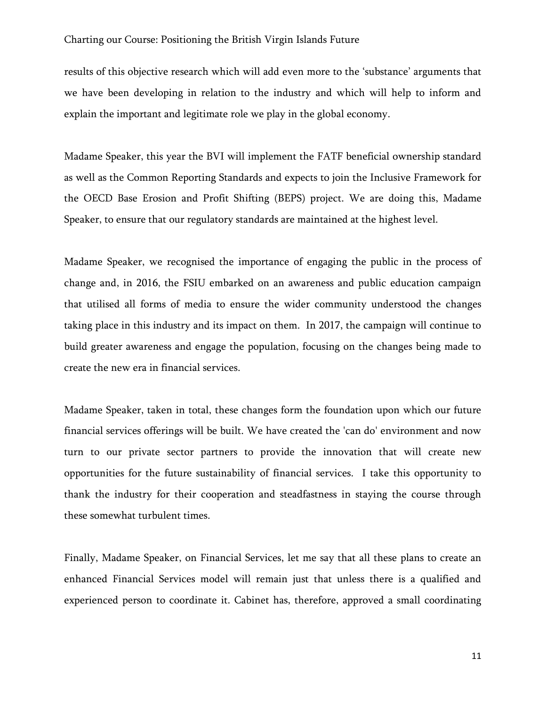results of this objective research which will add even more to the 'substance' arguments that we have been developing in relation to the industry and which will help to inform and explain the important and legitimate role we play in the global economy.

Madame Speaker, this year the BVI will implement the FATF beneficial ownership standard as well as the Common Reporting Standards and expects to join the Inclusive Framework for the OECD Base Erosion and Profit Shifting (BEPS) project. We are doing this, Madame Speaker, to ensure that our regulatory standards are maintained at the highest level.

Madame Speaker, we recognised the importance of engaging the public in the process of change and, in 2016, the FSIU embarked on an awareness and public education campaign that utilised all forms of media to ensure the wider community understood the changes taking place in this industry and its impact on them. In 2017, the campaign will continue to build greater awareness and engage the population, focusing on the changes being made to create the new era in financial services.

Madame Speaker, taken in total, these changes form the foundation upon which our future financial services offerings will be built. We have created the 'can do' environment and now turn to our private sector partners to provide the innovation that will create new opportunities for the future sustainability of financial services. I take this opportunity to thank the industry for their cooperation and steadfastness in staying the course through these somewhat turbulent times.

Finally, Madame Speaker, on Financial Services, let me say that all these plans to create an enhanced Financial Services model will remain just that unless there is a qualified and experienced person to coordinate it. Cabinet has, therefore, approved a small coordinating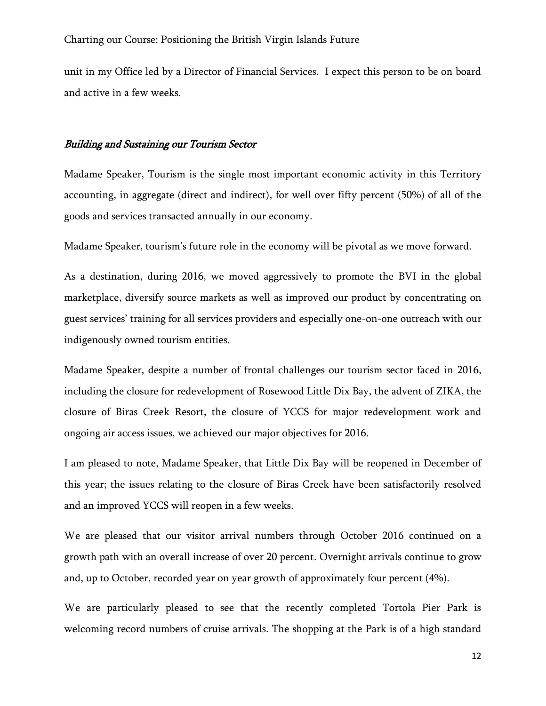unit in my Office led by a Director of Financial Services. I expect this person to be on board and active in a few weeks.

### Building and Sustaining our Tourism Sector

Madame Speaker, Tourism is the single most important economic activity in this Territory accounting, in aggregate (direct and indirect), for well over fifty percent (50%) of all of the goods and services transacted annually in our economy.

Madame Speaker, tourism's future role in the economy will be pivotal as we move forward.

As a destination, during 2016, we moved aggressively to promote the BVI in the global marketplace, diversify source markets as well as improved our product by concentrating on guest services' training for all services providers and especially one-on-one outreach with our indigenously owned tourism entities.

Madame Speaker, despite a number of frontal challenges our tourism sector faced in 2016, including the closure for redevelopment of Rosewood Little Dix Bay, the advent of ZIKA, the closure of Biras Creek Resort, the closure of YCCS for major redevelopment work and ongoing air access issues, we achieved our major objectives for 2016.

I am pleased to note, Madame Speaker, that Little Dix Bay will be reopened in December of this year; the issues relating to the closure of Biras Creek have been satisfactorily resolved and an improved YCCS will reopen in a few weeks.

We are pleased that our visitor arrival numbers through October 2016 continued on a growth path with an overall increase of over 20 percent. Overnight arrivals continue to grow and, up to October, recorded year on year growth of approximately four percent (4%).

We are particularly pleased to see that the recently completed Tortola Pier Park is welcoming record numbers of cruise arrivals. The shopping at the Park is of a high standard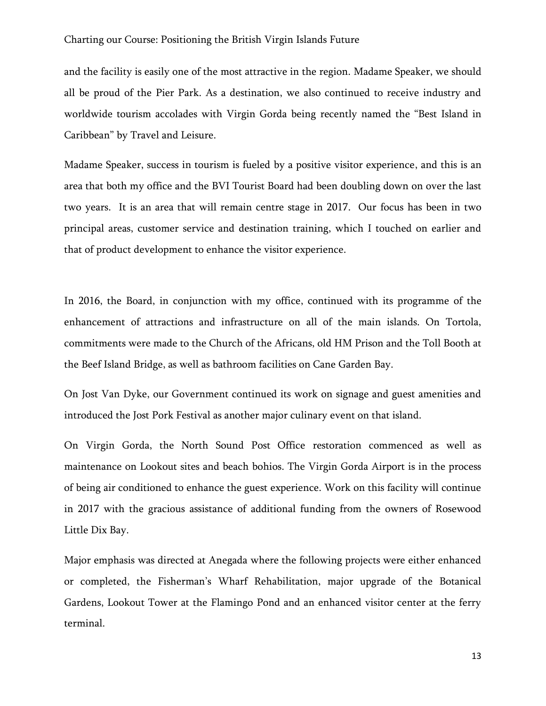and the facility is easily one of the most attractive in the region. Madame Speaker, we should all be proud of the Pier Park. As a destination, we also continued to receive industry and worldwide tourism accolades with Virgin Gorda being recently named the "Best Island in Caribbean" by Travel and Leisure.

Madame Speaker, success in tourism is fueled by a positive visitor experience, and this is an area that both my office and the BVI Tourist Board had been doubling down on over the last two years. It is an area that will remain centre stage in 2017. Our focus has been in two principal areas, customer service and destination training, which I touched on earlier and that of product development to enhance the visitor experience.

In 2016, the Board, in conjunction with my office, continued with its programme of the enhancement of attractions and infrastructure on all of the main islands. On Tortola, commitments were made to the Church of the Africans, old HM Prison and the Toll Booth at the Beef Island Bridge, as well as bathroom facilities on Cane Garden Bay.

On Jost Van Dyke, our Government continued its work on signage and guest amenities and introduced the Jost Pork Festival as another major culinary event on that island.

On Virgin Gorda, the North Sound Post Office restoration commenced as well as maintenance on Lookout sites and beach bohios. The Virgin Gorda Airport is in the process of being air conditioned to enhance the guest experience. Work on this facility will continue in 2017 with the gracious assistance of additional funding from the owners of Rosewood Little Dix Bay.

Major emphasis was directed at Anegada where the following projects were either enhanced or completed, the Fisherman's Wharf Rehabilitation, major upgrade of the Botanical Gardens, Lookout Tower at the Flamingo Pond and an enhanced visitor center at the ferry terminal.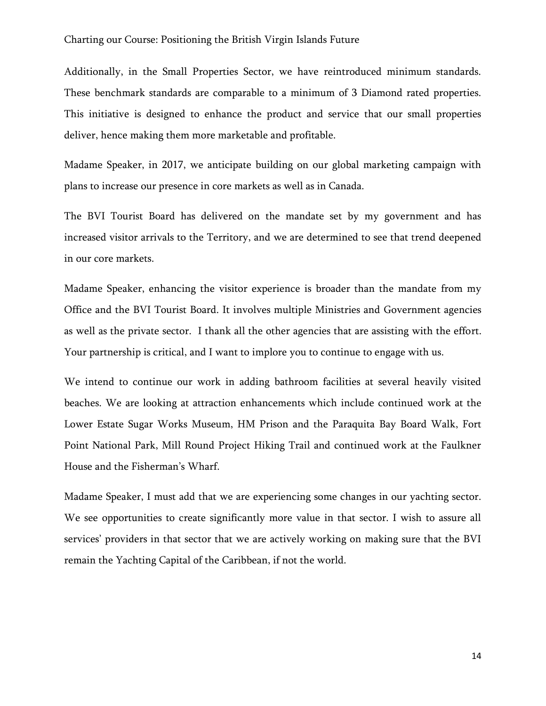Additionally, in the Small Properties Sector, we have reintroduced minimum standards. These benchmark standards are comparable to a minimum of 3 Diamond rated properties. This initiative is designed to enhance the product and service that our small properties deliver, hence making them more marketable and profitable.

Madame Speaker, in 2017, we anticipate building on our global marketing campaign with plans to increase our presence in core markets as well as in Canada.

The BVI Tourist Board has delivered on the mandate set by my government and has increased visitor arrivals to the Territory, and we are determined to see that trend deepened in our core markets.

Madame Speaker, enhancing the visitor experience is broader than the mandate from my Office and the BVI Tourist Board. It involves multiple Ministries and Government agencies as well as the private sector. I thank all the other agencies that are assisting with the effort. Your partnership is critical, and I want to implore you to continue to engage with us.

We intend to continue our work in adding bathroom facilities at several heavily visited beaches. We are looking at attraction enhancements which include continued work at the Lower Estate Sugar Works Museum, HM Prison and the Paraquita Bay Board Walk, Fort Point National Park, Mill Round Project Hiking Trail and continued work at the Faulkner House and the Fisherman's Wharf.

Madame Speaker, I must add that we are experiencing some changes in our yachting sector. We see opportunities to create significantly more value in that sector. I wish to assure all services' providers in that sector that we are actively working on making sure that the BVI remain the Yachting Capital of the Caribbean, if not the world.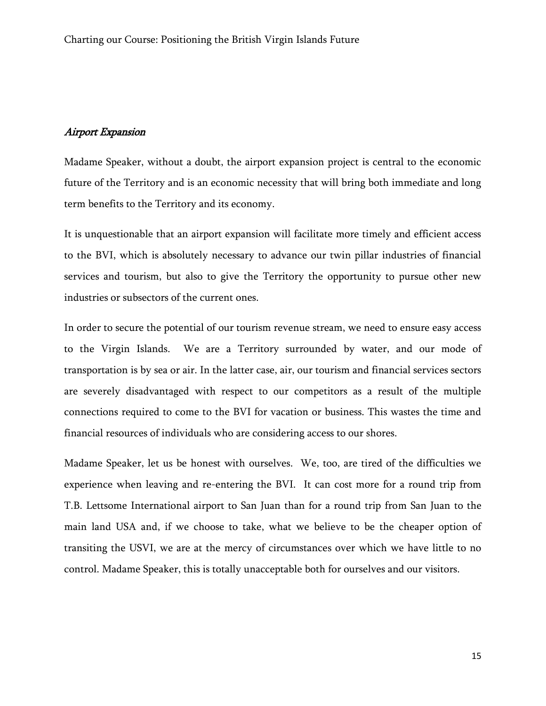# Airport Expansion

Madame Speaker, without a doubt, the airport expansion project is central to the economic future of the Territory and is an economic necessity that will bring both immediate and long term benefits to the Territory and its economy.

It is unquestionable that an airport expansion will facilitate more timely and efficient access to the BVI, which is absolutely necessary to advance our twin pillar industries of financial services and tourism, but also to give the Territory the opportunity to pursue other new industries or subsectors of the current ones.

In order to secure the potential of our tourism revenue stream, we need to ensure easy access to the Virgin Islands. We are a Territory surrounded by water, and our mode of transportation is by sea or air. In the latter case, air, our tourism and financial services sectors are severely disadvantaged with respect to our competitors as a result of the multiple connections required to come to the BVI for vacation or business. This wastes the time and financial resources of individuals who are considering access to our shores.

Madame Speaker, let us be honest with ourselves. We, too, are tired of the difficulties we experience when leaving and re-entering the BVI. It can cost more for a round trip from T.B. Lettsome International airport to San Juan than for a round trip from San Juan to the main land USA and, if we choose to take, what we believe to be the cheaper option of transiting the USVI, we are at the mercy of circumstances over which we have little to no control. Madame Speaker, this is totally unacceptable both for ourselves and our visitors.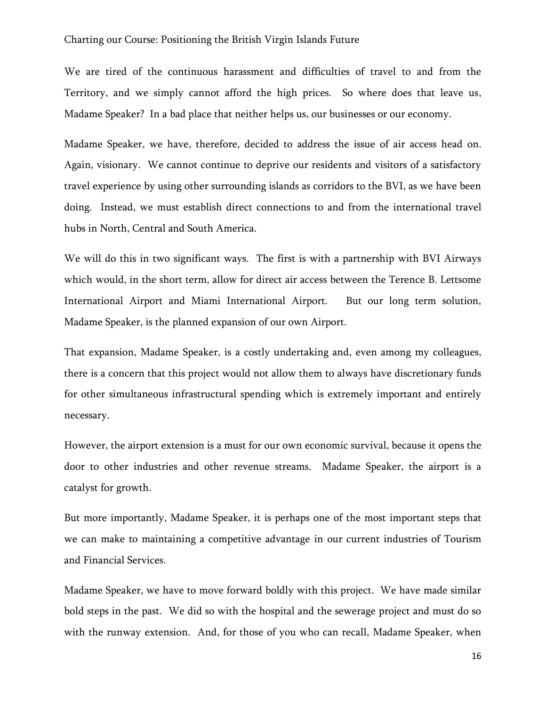We are tired of the continuous harassment and difficulties of travel to and from the Territory, and we simply cannot afford the high prices. So where does that leave us, Madame Speaker? In a bad place that neither helps us, our businesses or our economy.

Madame Speaker, we have, therefore, decided to address the issue of air access head on. Again, visionary. We cannot continue to deprive our residents and visitors of a satisfactory travel experience by using other surrounding islands as corridors to the BVI, as we have been doing. Instead, we must establish direct connections to and from the international travel hubs in North, Central and South America.

We will do this in two significant ways. The first is with a partnership with BVI Airways which would, in the short term, allow for direct air access between the Terence B. Lettsome International Airport and Miami International Airport. But our long term solution, Madame Speaker, is the planned expansion of our own Airport.

That expansion, Madame Speaker, is a costly undertaking and, even among my colleagues, there is a concern that this project would not allow them to always have discretionary funds for other simultaneous infrastructural spending which is extremely important and entirely necessary.

However, the airport extension is a must for our own economic survival, because it opens the door to other industries and other revenue streams. Madame Speaker, the airport is a catalyst for growth.

But more importantly, Madame Speaker, it is perhaps one of the most important steps that we can make to maintaining a competitive advantage in our current industries of Tourism and Financial Services.

Madame Speaker, we have to move forward boldly with this project. We have made similar bold steps in the past. We did so with the hospital and the sewerage project and must do so with the runway extension. And, for those of you who can recall, Madame Speaker, when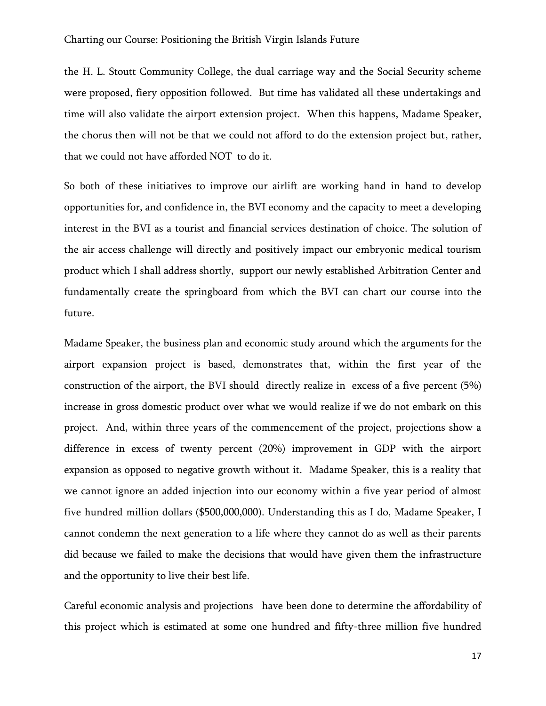the H. L. Stoutt Community College, the dual carriage way and the Social Security scheme were proposed, fiery opposition followed. But time has validated all these undertakings and time will also validate the airport extension project. When this happens, Madame Speaker, the chorus then will not be that we could not afford to do the extension project but, rather, that we could not have afforded NOT to do it.

So both of these initiatives to improve our airlift are working hand in hand to develop opportunities for, and confidence in, the BVI economy and the capacity to meet a developing interest in the BVI as a tourist and financial services destination of choice. The solution of the air access challenge will directly and positively impact our embryonic medical tourism product which I shall address shortly, support our newly established Arbitration Center and fundamentally create the springboard from which the BVI can chart our course into the future.

Madame Speaker, the business plan and economic study around which the arguments for the airport expansion project is based, demonstrates that, within the first year of the construction of the airport, the BVI should directly realize in excess of a five percent (5%) increase in gross domestic product over what we would realize if we do not embark on this project. And, within three years of the commencement of the project, projections show a difference in excess of twenty percent (20%) improvement in GDP with the airport expansion as opposed to negative growth without it. Madame Speaker, this is a reality that we cannot ignore an added injection into our economy within a five year period of almost five hundred million dollars (\$500,000,000). Understanding this as I do, Madame Speaker, I cannot condemn the next generation to a life where they cannot do as well as their parents did because we failed to make the decisions that would have given them the infrastructure and the opportunity to live their best life.

Careful economic analysis and projections have been done to determine the affordability of this project which is estimated at some one hundred and fifty-three million five hundred

17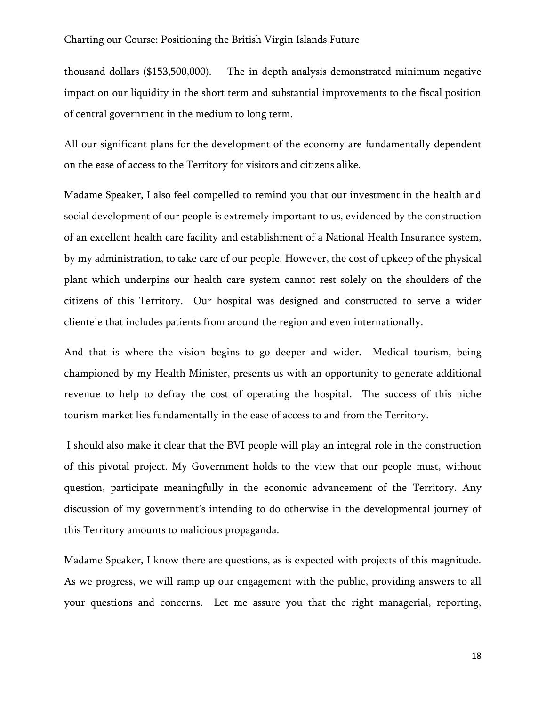thousand dollars (\$153,500,000). The in-depth analysis demonstrated minimum negative impact on our liquidity in the short term and substantial improvements to the fiscal position of central government in the medium to long term.

All our significant plans for the development of the economy are fundamentally dependent on the ease of access to the Territory for visitors and citizens alike.

Madame Speaker, I also feel compelled to remind you that our investment in the health and social development of our people is extremely important to us, evidenced by the construction of an excellent health care facility and establishment of a National Health Insurance system, by my administration, to take care of our people. However, the cost of upkeep of the physical plant which underpins our health care system cannot rest solely on the shoulders of the citizens of this Territory. Our hospital was designed and constructed to serve a wider clientele that includes patients from around the region and even internationally.

And that is where the vision begins to go deeper and wider. Medical tourism, being championed by my Health Minister, presents us with an opportunity to generate additional revenue to help to defray the cost of operating the hospital. The success of this niche tourism market lies fundamentally in the ease of access to and from the Territory.

I should also make it clear that the BVI people will play an integral role in the construction of this pivotal project. My Government holds to the view that our people must, without question, participate meaningfully in the economic advancement of the Territory. Any discussion of my government's intending to do otherwise in the developmental journey of this Territory amounts to malicious propaganda.

Madame Speaker, I know there are questions, as is expected with projects of this magnitude. As we progress, we will ramp up our engagement with the public, providing answers to all your questions and concerns. Let me assure you that the right managerial, reporting,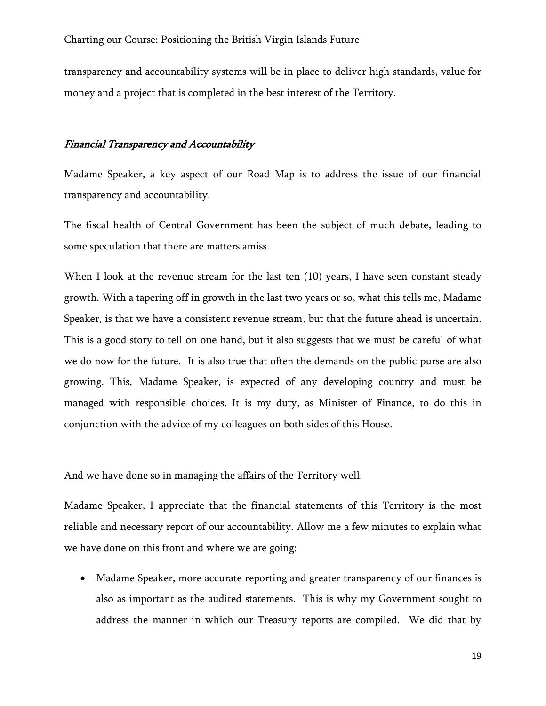transparency and accountability systems will be in place to deliver high standards, value for money and a project that is completed in the best interest of the Territory.

### Financial Transparency and Accountability

Madame Speaker, a key aspect of our Road Map is to address the issue of our financial transparency and accountability.

The fiscal health of Central Government has been the subject of much debate, leading to some speculation that there are matters amiss.

When I look at the revenue stream for the last ten (10) years, I have seen constant steady growth. With a tapering off in growth in the last two years or so, what this tells me, Madame Speaker, is that we have a consistent revenue stream, but that the future ahead is uncertain. This is a good story to tell on one hand, but it also suggests that we must be careful of what we do now for the future. It is also true that often the demands on the public purse are also growing. This, Madame Speaker, is expected of any developing country and must be managed with responsible choices. It is my duty, as Minister of Finance, to do this in conjunction with the advice of my colleagues on both sides of this House.

And we have done so in managing the affairs of the Territory well.

Madame Speaker, I appreciate that the financial statements of this Territory is the most reliable and necessary report of our accountability. Allow me a few minutes to explain what we have done on this front and where we are going:

 Madame Speaker, more accurate reporting and greater transparency of our finances is also as important as the audited statements. This is why my Government sought to address the manner in which our Treasury reports are compiled. We did that by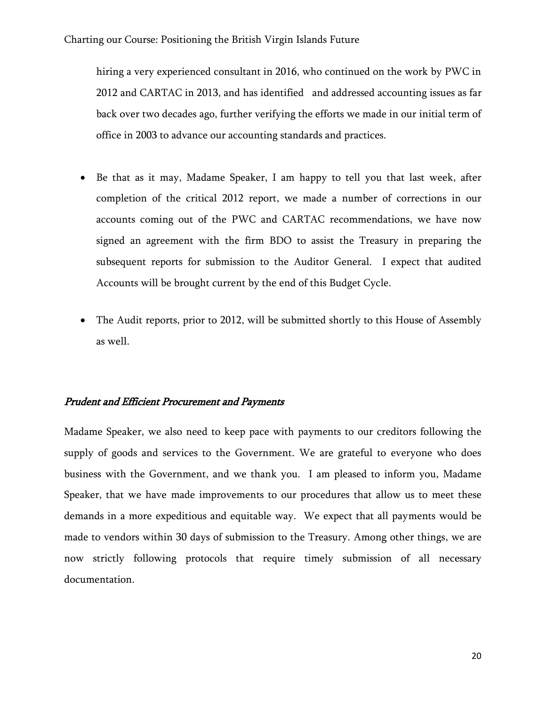hiring a very experienced consultant in 2016, who continued on the work by PWC in 2012 and CARTAC in 2013, and has identified and addressed accounting issues as far back over two decades ago, further verifying the efforts we made in our initial term of office in 2003 to advance our accounting standards and practices.

- Be that as it may, Madame Speaker, I am happy to tell you that last week, after completion of the critical 2012 report, we made a number of corrections in our accounts coming out of the PWC and CARTAC recommendations, we have now signed an agreement with the firm BDO to assist the Treasury in preparing the subsequent reports for submission to the Auditor General. I expect that audited Accounts will be brought current by the end of this Budget Cycle.
- The Audit reports, prior to 2012, will be submitted shortly to this House of Assembly as well.

# Prudent and Efficient Procurement and Payments

Madame Speaker, we also need to keep pace with payments to our creditors following the supply of goods and services to the Government. We are grateful to everyone who does business with the Government, and we thank you. I am pleased to inform you, Madame Speaker, that we have made improvements to our procedures that allow us to meet these demands in a more expeditious and equitable way. We expect that all payments would be made to vendors within 30 days of submission to the Treasury. Among other things, we are now strictly following protocols that require timely submission of all necessary documentation.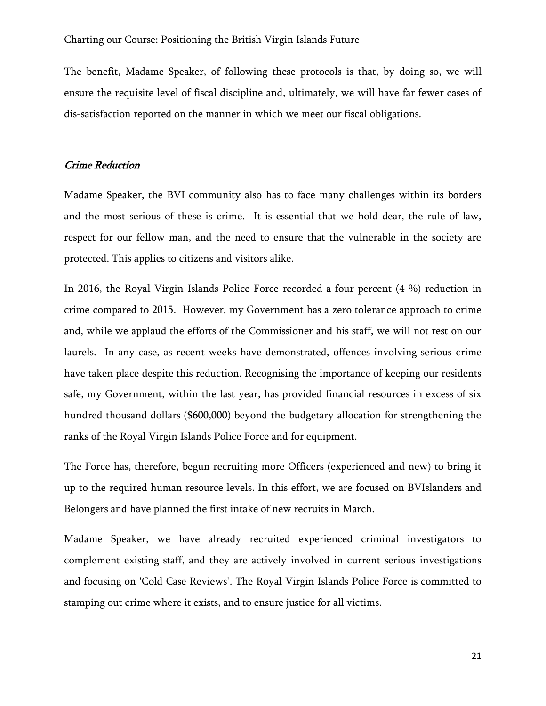The benefit, Madame Speaker, of following these protocols is that, by doing so, we will ensure the requisite level of fiscal discipline and, ultimately, we will have far fewer cases of dis-satisfaction reported on the manner in which we meet our fiscal obligations.

### Crime Reduction

Madame Speaker, the BVI community also has to face many challenges within its borders and the most serious of these is crime. It is essential that we hold dear, the rule of law, respect for our fellow man, and the need to ensure that the vulnerable in the society are protected. This applies to citizens and visitors alike.

In 2016, the Royal Virgin Islands Police Force recorded a four percent (4 %) reduction in crime compared to 2015. However, my Government has a zero tolerance approach to crime and, while we applaud the efforts of the Commissioner and his staff, we will not rest on our laurels. In any case, as recent weeks have demonstrated, offences involving serious crime have taken place despite this reduction. Recognising the importance of keeping our residents safe, my Government, within the last year, has provided financial resources in excess of six hundred thousand dollars (\$600,000) beyond the budgetary allocation for strengthening the ranks of the Royal Virgin Islands Police Force and for equipment.

The Force has, therefore, begun recruiting more Officers (experienced and new) to bring it up to the required human resource levels. In this effort, we are focused on BVIslanders and Belongers and have planned the first intake of new recruits in March.

Madame Speaker, we have already recruited experienced criminal investigators to complement existing staff, and they are actively involved in current serious investigations and focusing on 'Cold Case Reviews'. The Royal Virgin Islands Police Force is committed to stamping out crime where it exists, and to ensure justice for all victims.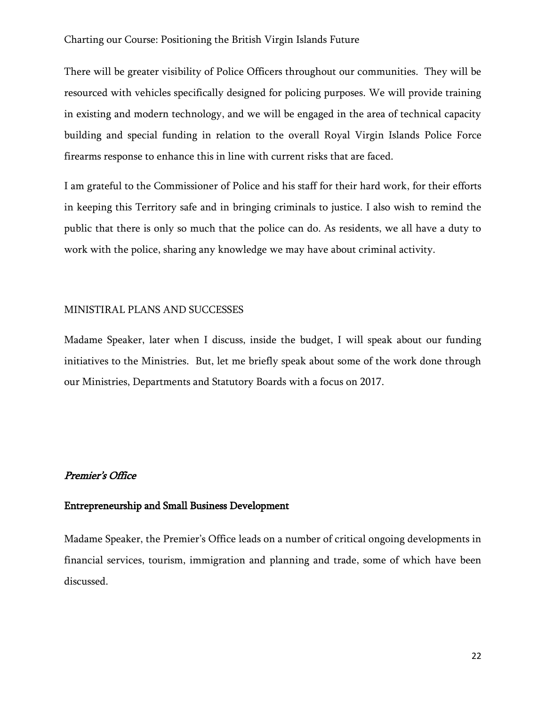There will be greater visibility of Police Officers throughout our communities. They will be resourced with vehicles specifically designed for policing purposes. We will provide training in existing and modern technology, and we will be engaged in the area of technical capacity building and special funding in relation to the overall Royal Virgin Islands Police Force firearms response to enhance this in line with current risks that are faced.

I am grateful to the Commissioner of Police and his staff for their hard work, for their efforts in keeping this Territory safe and in bringing criminals to justice. I also wish to remind the public that there is only so much that the police can do. As residents, we all have a duty to work with the police, sharing any knowledge we may have about criminal activity.

### MINISTIRAL PLANS AND SUCCESSES

Madame Speaker, later when I discuss, inside the budget, I will speak about our funding initiatives to the Ministries. But, let me briefly speak about some of the work done through our Ministries, Departments and Statutory Boards with a focus on 2017.

### Premier's Office

# Entrepreneurship and Small Business Development

Madame Speaker, the Premier's Office leads on a number of critical ongoing developments in financial services, tourism, immigration and planning and trade, some of which have been discussed.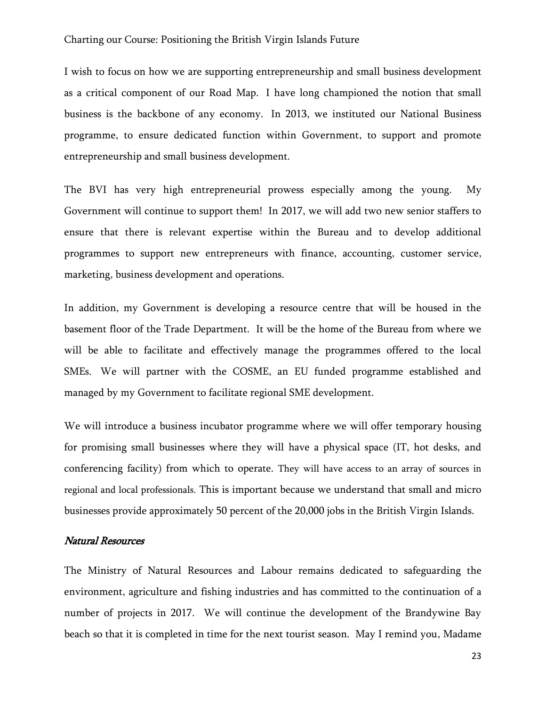I wish to focus on how we are supporting entrepreneurship and small business development as a critical component of our Road Map. I have long championed the notion that small business is the backbone of any economy. In 2013, we instituted our National Business programme, to ensure dedicated function within Government, to support and promote entrepreneurship and small business development.

The BVI has very high entrepreneurial prowess especially among the young. My Government will continue to support them! In 2017, we will add two new senior staffers to ensure that there is relevant expertise within the Bureau and to develop additional programmes to support new entrepreneurs with finance, accounting, customer service, marketing, business development and operations.

In addition, my Government is developing a resource centre that will be housed in the basement floor of the Trade Department. It will be the home of the Bureau from where we will be able to facilitate and effectively manage the programmes offered to the local SMEs. We will partner with the COSME, an EU funded programme established and managed by my Government to facilitate regional SME development.

We will introduce a business incubator programme where we will offer temporary housing for promising small businesses where they will have a physical space (IT, hot desks, and conferencing facility) from which to operate. They will have access to an array of sources in regional and local professionals. This is important because we understand that small and micro businesses provide approximately 50 percent of the 20,000 jobs in the British Virgin Islands.

#### Natural Resources

The Ministry of Natural Resources and Labour remains dedicated to safeguarding the environment, agriculture and fishing industries and has committed to the continuation of a number of projects in 2017. We will continue the development of the Brandywine Bay beach so that it is completed in time for the next tourist season. May I remind you, Madame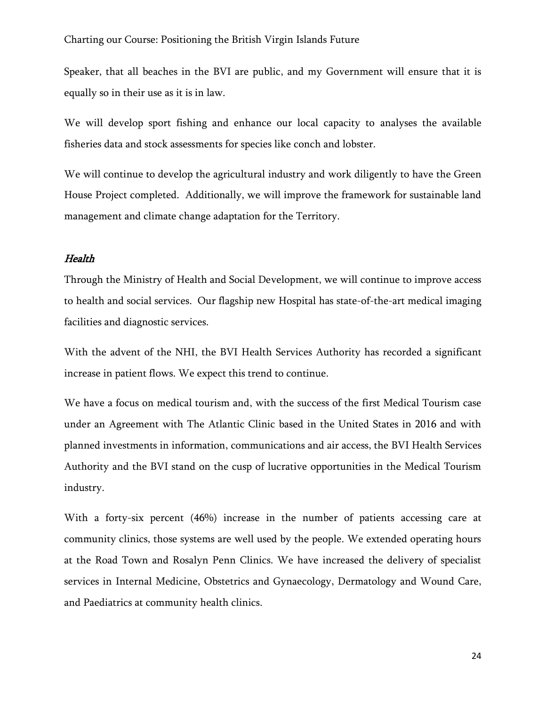Speaker, that all beaches in the BVI are public, and my Government will ensure that it is equally so in their use as it is in law.

We will develop sport fishing and enhance our local capacity to analyses the available fisheries data and stock assessments for species like conch and lobster.

We will continue to develop the agricultural industry and work diligently to have the Green House Project completed. Additionally, we will improve the framework for sustainable land management and climate change adaptation for the Territory.

#### Health

Through the Ministry of Health and Social Development, we will continue to improve access to health and social services. Our flagship new Hospital has state-of-the-art medical imaging facilities and diagnostic services.

With the advent of the NHI, the BVI Health Services Authority has recorded a significant increase in patient flows. We expect this trend to continue.

We have a focus on medical tourism and, with the success of the first Medical Tourism case under an Agreement with The Atlantic Clinic based in the United States in 2016 and with planned investments in information, communications and air access, the BVI Health Services Authority and the BVI stand on the cusp of lucrative opportunities in the Medical Tourism industry.

With a forty-six percent (46%) increase in the number of patients accessing care at community clinics, those systems are well used by the people. We extended operating hours at the Road Town and Rosalyn Penn Clinics. We have increased the delivery of specialist services in Internal Medicine, Obstetrics and Gynaecology, Dermatology and Wound Care, and Paediatrics at community health clinics.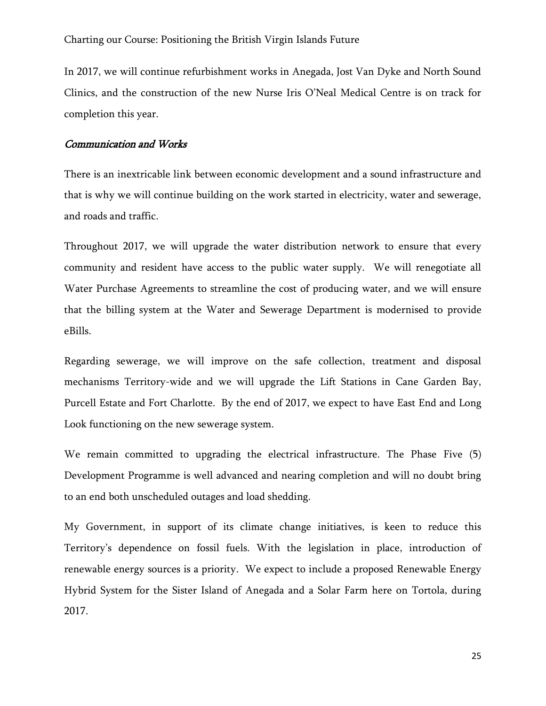In 2017, we will continue refurbishment works in Anegada, Jost Van Dyke and North Sound Clinics, and the construction of the new Nurse Iris O'Neal Medical Centre is on track for completion this year.

### Communication and Works

There is an inextricable link between economic development and a sound infrastructure and that is why we will continue building on the work started in electricity, water and sewerage, and roads and traffic.

Throughout 2017, we will upgrade the water distribution network to ensure that every community and resident have access to the public water supply. We will renegotiate all Water Purchase Agreements to streamline the cost of producing water, and we will ensure that the billing system at the Water and Sewerage Department is modernised to provide eBills.

Regarding sewerage, we will improve on the safe collection, treatment and disposal mechanisms Territory-wide and we will upgrade the Lift Stations in Cane Garden Bay, Purcell Estate and Fort Charlotte. By the end of 2017, we expect to have East End and Long Look functioning on the new sewerage system.

We remain committed to upgrading the electrical infrastructure. The Phase Five (5) Development Programme is well advanced and nearing completion and will no doubt bring to an end both unscheduled outages and load shedding.

My Government, in support of its climate change initiatives, is keen to reduce this Territory's dependence on fossil fuels. With the legislation in place, introduction of renewable energy sources is a priority. We expect to include a proposed Renewable Energy Hybrid System for the Sister Island of Anegada and a Solar Farm here on Tortola, during 2017.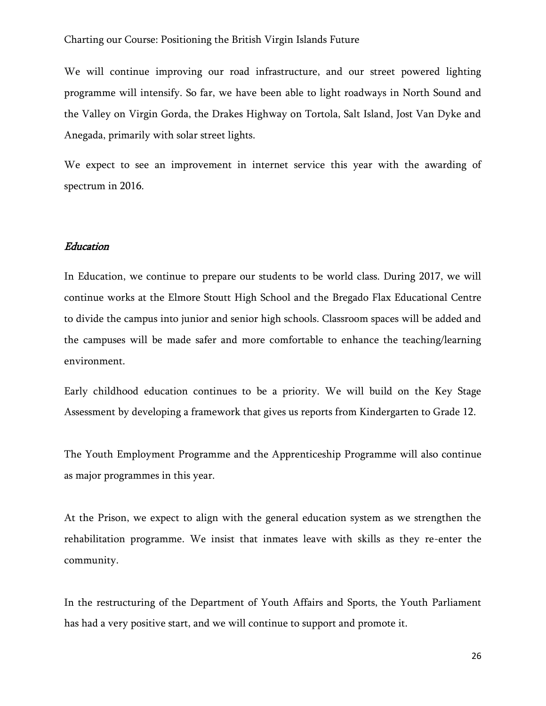We will continue improving our road infrastructure, and our street powered lighting programme will intensify. So far, we have been able to light roadways in North Sound and the Valley on Virgin Gorda, the Drakes Highway on Tortola, Salt Island, Jost Van Dyke and Anegada, primarily with solar street lights.

We expect to see an improvement in internet service this year with the awarding of spectrum in 2016.

### Education

In Education, we continue to prepare our students to be world class. During 2017, we will continue works at the Elmore Stoutt High School and the Bregado Flax Educational Centre to divide the campus into junior and senior high schools. Classroom spaces will be added and the campuses will be made safer and more comfortable to enhance the teaching/learning environment.

Early childhood education continues to be a priority. We will build on the Key Stage Assessment by developing a framework that gives us reports from Kindergarten to Grade 12.

The Youth Employment Programme and the Apprenticeship Programme will also continue as major programmes in this year.

At the Prison, we expect to align with the general education system as we strengthen the rehabilitation programme. We insist that inmates leave with skills as they re-enter the community.

In the restructuring of the Department of Youth Affairs and Sports, the Youth Parliament has had a very positive start, and we will continue to support and promote it.

26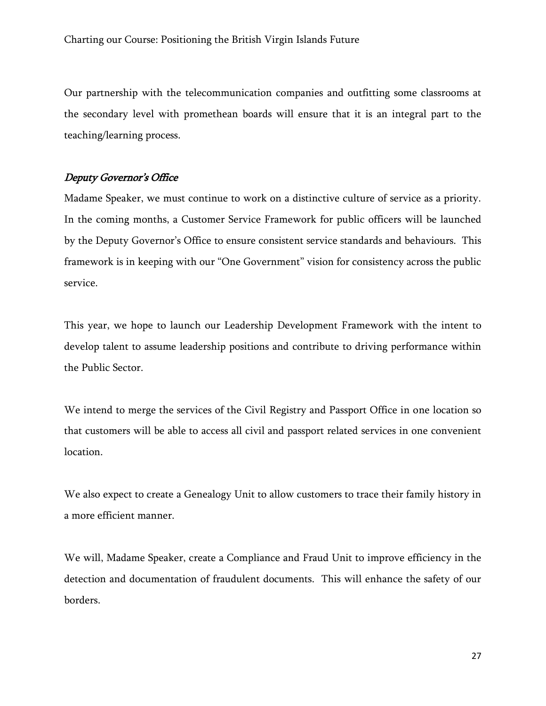Our partnership with the telecommunication companies and outfitting some classrooms at the secondary level with promethean boards will ensure that it is an integral part to the teaching/learning process.

# Deputy Governor's Office

Madame Speaker, we must continue to work on a distinctive culture of service as a priority. In the coming months, a Customer Service Framework for public officers will be launched by the Deputy Governor's Office to ensure consistent service standards and behaviours. This framework is in keeping with our "One Government" vision for consistency across the public service.

This year, we hope to launch our Leadership Development Framework with the intent to develop talent to assume leadership positions and contribute to driving performance within the Public Sector.

We intend to merge the services of the Civil Registry and Passport Office in one location so that customers will be able to access all civil and passport related services in one convenient location.

We also expect to create a Genealogy Unit to allow customers to trace their family history in a more efficient manner.

We will, Madame Speaker, create a Compliance and Fraud Unit to improve efficiency in the detection and documentation of fraudulent documents. This will enhance the safety of our borders.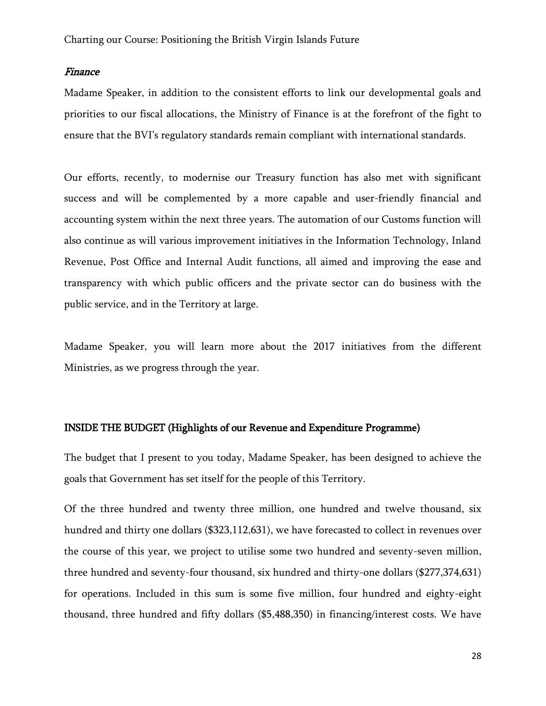#### Finance

Madame Speaker, in addition to the consistent efforts to link our developmental goals and priorities to our fiscal allocations, the Ministry of Finance is at the forefront of the fight to ensure that the BVI's regulatory standards remain compliant with international standards.

Our efforts, recently, to modernise our Treasury function has also met with significant success and will be complemented by a more capable and user-friendly financial and accounting system within the next three years. The automation of our Customs function will also continue as will various improvement initiatives in the Information Technology, Inland Revenue, Post Office and Internal Audit functions, all aimed and improving the ease and transparency with which public officers and the private sector can do business with the public service, and in the Territory at large.

Madame Speaker, you will learn more about the 2017 initiatives from the different Ministries, as we progress through the year.

### INSIDE THE BUDGET (Highlights of our Revenue and Expenditure Programme)

The budget that I present to you today, Madame Speaker, has been designed to achieve the goals that Government has set itself for the people of this Territory.

Of the three hundred and twenty three million, one hundred and twelve thousand, six hundred and thirty one dollars (\$323,112,631), we have forecasted to collect in revenues over the course of this year, we project to utilise some two hundred and seventy-seven million, three hundred and seventy-four thousand, six hundred and thirty-one dollars (\$277,374,631) for operations. Included in this sum is some five million, four hundred and eighty-eight thousand, three hundred and fifty dollars (\$5,488,350) in financing/interest costs. We have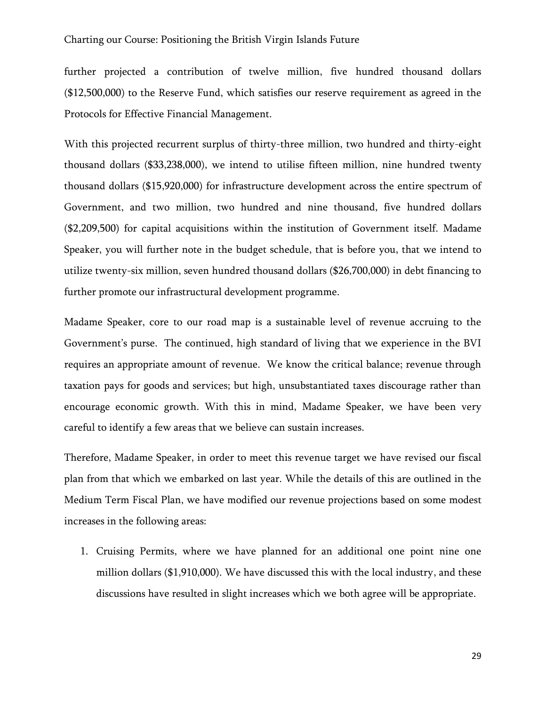further projected a contribution of twelve million, five hundred thousand dollars (\$12,500,000) to the Reserve Fund, which satisfies our reserve requirement as agreed in the Protocols for Effective Financial Management.

With this projected recurrent surplus of thirty-three million, two hundred and thirty-eight thousand dollars (\$33,238,000), we intend to utilise fifteen million, nine hundred twenty thousand dollars (\$15,920,000) for infrastructure development across the entire spectrum of Government, and two million, two hundred and nine thousand, five hundred dollars (\$2,209,500) for capital acquisitions within the institution of Government itself. Madame Speaker, you will further note in the budget schedule, that is before you, that we intend to utilize twenty-six million, seven hundred thousand dollars (\$26,700,000) in debt financing to further promote our infrastructural development programme.

Madame Speaker, core to our road map is a sustainable level of revenue accruing to the Government's purse. The continued, high standard of living that we experience in the BVI requires an appropriate amount of revenue. We know the critical balance; revenue through taxation pays for goods and services; but high, unsubstantiated taxes discourage rather than encourage economic growth. With this in mind, Madame Speaker, we have been very careful to identify a few areas that we believe can sustain increases.

Therefore, Madame Speaker, in order to meet this revenue target we have revised our fiscal plan from that which we embarked on last year. While the details of this are outlined in the Medium Term Fiscal Plan, we have modified our revenue projections based on some modest increases in the following areas:

1. Cruising Permits, where we have planned for an additional one point nine one million dollars (\$1,910,000). We have discussed this with the local industry, and these discussions have resulted in slight increases which we both agree will be appropriate.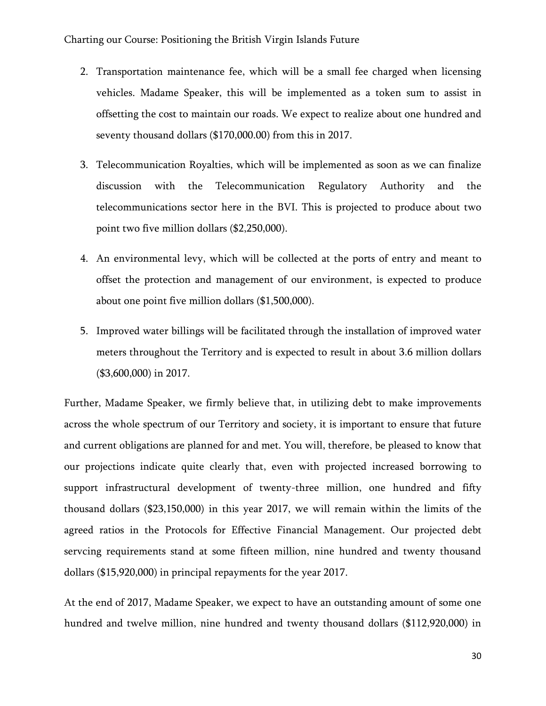- 2. Transportation maintenance fee, which will be a small fee charged when licensing vehicles. Madame Speaker, this will be implemented as a token sum to assist in offsetting the cost to maintain our roads. We expect to realize about one hundred and seventy thousand dollars (\$170,000.00) from this in 2017.
- 3. Telecommunication Royalties, which will be implemented as soon as we can finalize discussion with the Telecommunication Regulatory Authority and the telecommunications sector here in the BVI. This is projected to produce about two point two five million dollars (\$2,250,000).
- 4. An environmental levy, which will be collected at the ports of entry and meant to offset the protection and management of our environment, is expected to produce about one point five million dollars (\$1,500,000).
- 5. Improved water billings will be facilitated through the installation of improved water meters throughout the Territory and is expected to result in about 3.6 million dollars (\$3,600,000) in 2017.

Further, Madame Speaker, we firmly believe that, in utilizing debt to make improvements across the whole spectrum of our Territory and society, it is important to ensure that future and current obligations are planned for and met. You will, therefore, be pleased to know that our projections indicate quite clearly that, even with projected increased borrowing to support infrastructural development of twenty-three million, one hundred and fifty thousand dollars (\$23,150,000) in this year 2017, we will remain within the limits of the agreed ratios in the Protocols for Effective Financial Management. Our projected debt servcing requirements stand at some fifteen million, nine hundred and twenty thousand dollars (\$15,920,000) in principal repayments for the year 2017.

At the end of 2017, Madame Speaker, we expect to have an outstanding amount of some one hundred and twelve million, nine hundred and twenty thousand dollars (\$112,920,000) in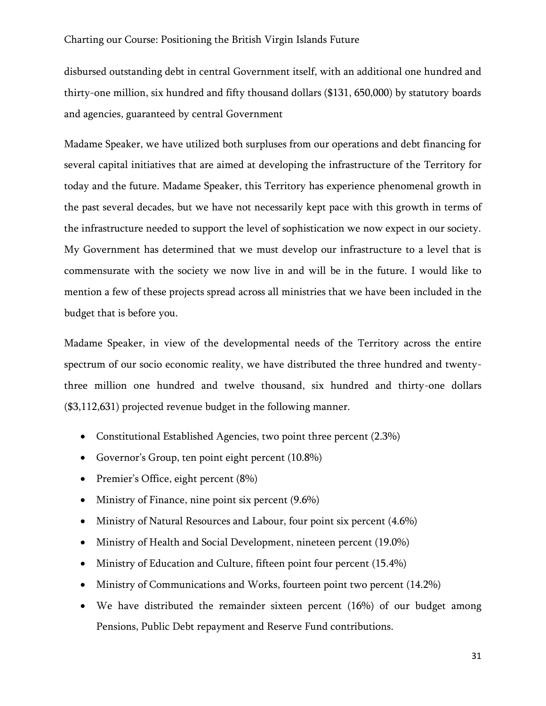disbursed outstanding debt in central Government itself, with an additional one hundred and thirty-one million, six hundred and fifty thousand dollars (\$131, 650,000) by statutory boards and agencies, guaranteed by central Government

Madame Speaker, we have utilized both surpluses from our operations and debt financing for several capital initiatives that are aimed at developing the infrastructure of the Territory for today and the future. Madame Speaker, this Territory has experience phenomenal growth in the past several decades, but we have not necessarily kept pace with this growth in terms of the infrastructure needed to support the level of sophistication we now expect in our society. My Government has determined that we must develop our infrastructure to a level that is commensurate with the society we now live in and will be in the future. I would like to mention a few of these projects spread across all ministries that we have been included in the budget that is before you.

Madame Speaker, in view of the developmental needs of the Territory across the entire spectrum of our socio economic reality, we have distributed the three hundred and twentythree million one hundred and twelve thousand, six hundred and thirty-one dollars (\$3,112,631) projected revenue budget in the following manner.

- Constitutional Established Agencies, two point three percent (2.3%)
- Governor's Group, ten point eight percent (10.8%)
- Premier's Office, eight percent (8%)
- Ministry of Finance, nine point six percent (9.6%)
- Ministry of Natural Resources and Labour, four point six percent (4.6%)
- Ministry of Health and Social Development, nineteen percent (19.0%)
- Ministry of Education and Culture, fifteen point four percent (15.4%)
- Ministry of Communications and Works, fourteen point two percent (14.2%)
- We have distributed the remainder sixteen percent (16%) of our budget among Pensions, Public Debt repayment and Reserve Fund contributions.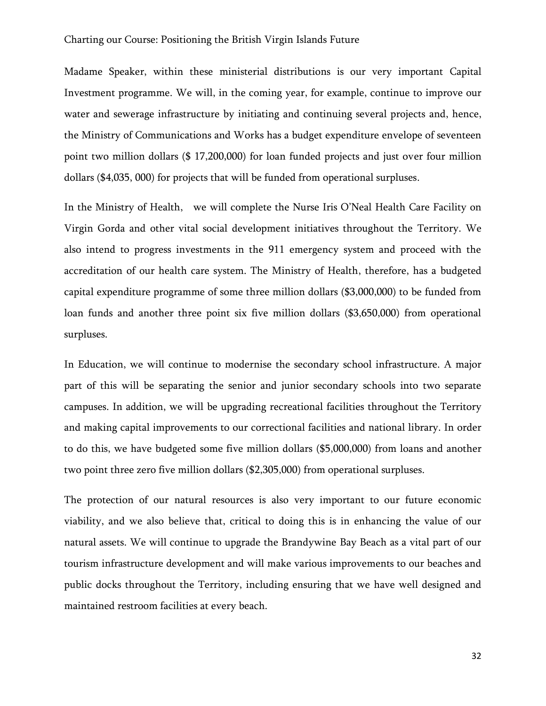Madame Speaker, within these ministerial distributions is our very important Capital Investment programme. We will, in the coming year, for example, continue to improve our water and sewerage infrastructure by initiating and continuing several projects and, hence, the Ministry of Communications and Works has a budget expenditure envelope of seventeen point two million dollars (\$ 17,200,000) for loan funded projects and just over four million dollars (\$4,035, 000) for projects that will be funded from operational surpluses.

In the Ministry of Health, we will complete the Nurse Iris O'Neal Health Care Facility on Virgin Gorda and other vital social development initiatives throughout the Territory. We also intend to progress investments in the 911 emergency system and proceed with the accreditation of our health care system. The Ministry of Health, therefore, has a budgeted capital expenditure programme of some three million dollars (\$3,000,000) to be funded from loan funds and another three point six five million dollars (\$3,650,000) from operational surpluses.

In Education, we will continue to modernise the secondary school infrastructure. A major part of this will be separating the senior and junior secondary schools into two separate campuses. In addition, we will be upgrading recreational facilities throughout the Territory and making capital improvements to our correctional facilities and national library. In order to do this, we have budgeted some five million dollars (\$5,000,000) from loans and another two point three zero five million dollars (\$2,305,000) from operational surpluses.

The protection of our natural resources is also very important to our future economic viability, and we also believe that, critical to doing this is in enhancing the value of our natural assets. We will continue to upgrade the Brandywine Bay Beach as a vital part of our tourism infrastructure development and will make various improvements to our beaches and public docks throughout the Territory, including ensuring that we have well designed and maintained restroom facilities at every beach.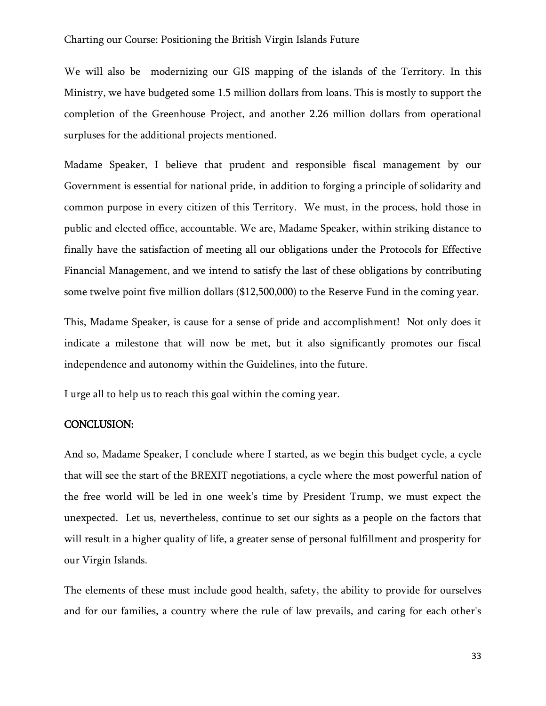We will also be modernizing our GIS mapping of the islands of the Territory. In this Ministry, we have budgeted some 1.5 million dollars from loans. This is mostly to support the completion of the Greenhouse Project, and another 2.26 million dollars from operational surpluses for the additional projects mentioned.

Madame Speaker, I believe that prudent and responsible fiscal management by our Government is essential for national pride, in addition to forging a principle of solidarity and common purpose in every citizen of this Territory. We must, in the process, hold those in public and elected office, accountable. We are, Madame Speaker, within striking distance to finally have the satisfaction of meeting all our obligations under the Protocols for Effective Financial Management, and we intend to satisfy the last of these obligations by contributing some twelve point five million dollars (\$12,500,000) to the Reserve Fund in the coming year.

This, Madame Speaker, is cause for a sense of pride and accomplishment! Not only does it indicate a milestone that will now be met, but it also significantly promotes our fiscal independence and autonomy within the Guidelines, into the future.

I urge all to help us to reach this goal within the coming year.

#### CONCLUSION:

And so, Madame Speaker, I conclude where I started, as we begin this budget cycle, a cycle that will see the start of the BREXIT negotiations, a cycle where the most powerful nation of the free world will be led in one week's time by President Trump, we must expect the unexpected. Let us, nevertheless, continue to set our sights as a people on the factors that will result in a higher quality of life, a greater sense of personal fulfillment and prosperity for our Virgin Islands.

The elements of these must include good health, safety, the ability to provide for ourselves and for our families, a country where the rule of law prevails, and caring for each other's